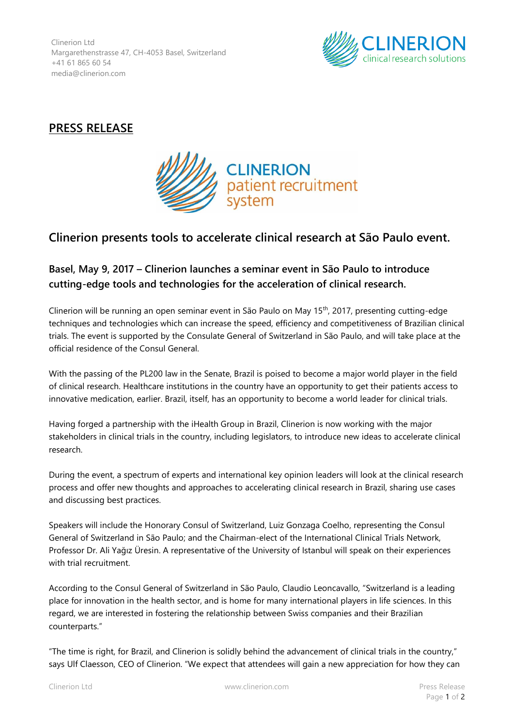Clinerion Ltd Margarethenstrasse 47, CH-4053 Basel, Switzerland +41 61 865 60 54 media@clinerion.com



## **PRESS RELEASE**



## **Clinerion presents tools to accelerate clinical research at São Paulo event.**

## **Basel, May 9, 2017 – Clinerion launches a seminar event in São Paulo to introduce cutting-edge tools and technologies for the acceleration of clinical research.**

Clinerion will be running an open seminar event in São Paulo on May 15th, 2017, presenting cutting-edge techniques and technologies which can increase the speed, efficiency and competitiveness of Brazilian clinical trials. The event is supported by the Consulate General of Switzerland in São Paulo, and will take place at the official residence of the Consul General.

With the passing of the PL200 law in the Senate, Brazil is poised to become a major world player in the field of clinical research. Healthcare institutions in the country have an opportunity to get their patients access to innovative medication, earlier. Brazil, itself, has an opportunity to become a world leader for clinical trials.

Having forged a partnership with the iHealth Group in Brazil, Clinerion is now working with the major stakeholders in clinical trials in the country, including legislators, to introduce new ideas to accelerate clinical research.

During the event, a spectrum of experts and international key opinion leaders will look at the clinical research process and offer new thoughts and approaches to accelerating clinical research in Brazil, sharing use cases and discussing best practices.

Speakers will include the Honorary Consul of Switzerland, Luiz Gonzaga Coelho, representing the Consul General of Switzerland in São Paulo; and the Chairman-elect of the International Clinical Trials Network, Professor Dr. Ali Yağız Üresin. A representative of the University of Istanbul will speak on their experiences with trial recruitment.

According to the Consul General of Switzerland in São Paulo, Claudio Leoncavallo, "Switzerland is a leading place for innovation in the health sector, and is home for many international players in life sciences. In this regard, we are interested in fostering the relationship between Swiss companies and their Brazilian counterparts."

"The time is right, for Brazil, and Clinerion is solidly behind the advancement of clinical trials in the country," says Ulf Claesson, CEO of Clinerion. "We expect that attendees will gain a new appreciation for how they can